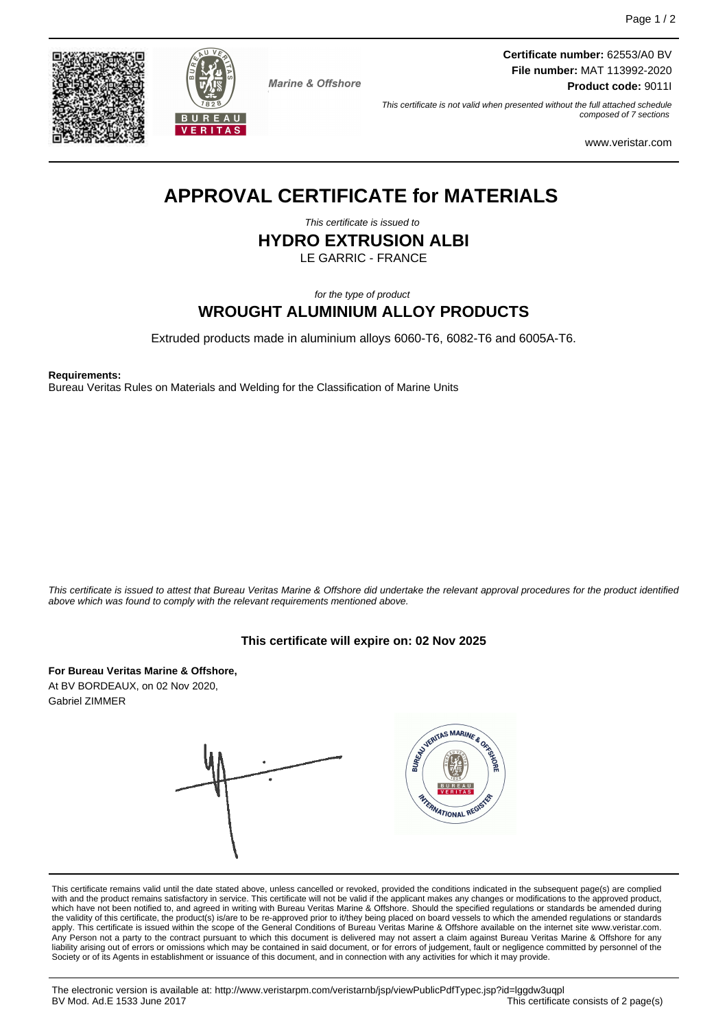

**Marine & Offshore** 

**Certificate number:** 62553/A0 BV **File number:** MAT 113992-2020 **Product code:** 9011I

This certificate is not valid when presented without the full attached schedule composed of 7 sections

www.veristar.com

# **APPROVAL CERTIFICATE for MATERIALS**

This certificate is issued to

**HYDRO EXTRUSION ALBI**

LE GARRIC - FRANCE

for the type of product

# **WROUGHT ALUMINIUM ALLOY PRODUCTS**

Extruded products made in aluminium alloys 6060-T6, 6082-T6 and 6005A-T6.

**Requirements:**

Bureau Veritas Rules on Materials and Welding for the Classification of Marine Units

This certificate is issued to attest that Bureau Veritas Marine & Offshore did undertake the relevant approval procedures for the product identified above which was found to comply with the relevant requirements mentioned above.

## **This certificate will expire on: 02 Nov 2025**

VERITAS MARINE & OR

FRANATIONAL REGI

**For Bureau Veritas Marine & Offshore,** At BV BORDEAUX, on 02 Nov 2020, Gabriel ZIMMER



This certificate remains valid until the date stated above, unless cancelled or revoked, provided the conditions indicated in the subsequent page(s) are complied with and the product remains satisfactory in service. This certificate will not be valid if the applicant makes any changes or modifications to the approved product, which have not been notified to, and agreed in writing with Bureau Veritas Marine & Offshore. Should the specified regulations or standards be amended during the validity of this certificate, the product(s) is/are to be re-approved prior to it/they being placed on board vessels to which the amended regulations or standards apply. This certificate is issued within the scope of the General Conditions of Bureau Veritas Marine & Offshore available on the internet site www.veristar.com.<br>Any Person not a party to the contract pursuant to which thi liability arising out of errors or omissions which may be contained in said document, or for errors of judgement, fault or negligence committed by personnel of the Society or of its Agents in establishment or issuance of this document, and in connection with any activities for which it may provide.